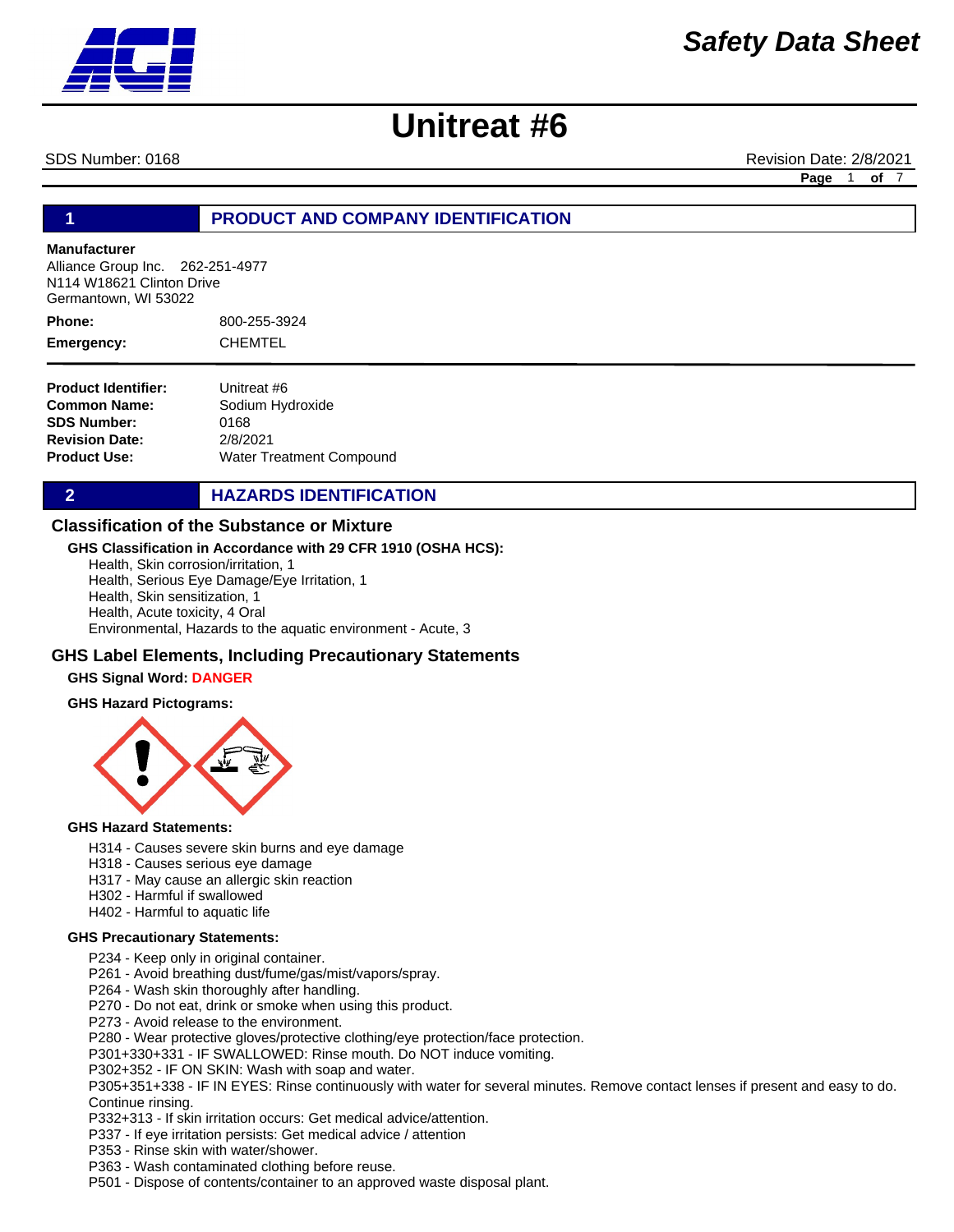

SDS Number: 0168 **Revision Date: 2/8/2021** Revision Date: 2/8/2021

**Page** 1 **of** 7

# **1 PRODUCT AND COMPANY IDENTIFICATION**

## **Manufacturer**

Alliance Group Inc. 262-251-4977 N114 W18621 Clinton Drive Germantown, WI 53022

800-255-3924 CHEMTEL **Phone: Emergency:**

**Product Identifier: Common Name: SDS Number: Revision Date: Product Use:** Unitreat #6 Sodium Hydroxide 0168 2/8/2021 Water Treatment Compound

**2 HAZARDS IDENTIFICATION** 

## **Classification of the Substance or Mixture**

#### **GHS Classification in Accordance with 29 CFR 1910 (OSHA HCS):**

Health, Skin corrosion/irritation, 1 Health, Serious Eye Damage/Eye Irritation, 1 Health, Skin sensitization, 1 Health, Acute toxicity, 4 Oral Environmental, Hazards to the aquatic environment - Acute, 3

## **GHS Label Elements, Including Precautionary Statements**

#### **GHS Signal Word: DANGER**

#### **GHS Hazard Pictograms:**



#### **GHS Hazard Statements:**

- H314 Causes severe skin burns and eye damage
- H318 Causes serious eye damage
- H317 May cause an allergic skin reaction
- H302 Harmful if swallowed
- H402 Harmful to aquatic life

#### **GHS Precautionary Statements:**

- P234 Keep only in original container.
- P261 Avoid breathing dust/fume/gas/mist/vapors/spray.
- P264 Wash skin thoroughly after handling.
- P270 Do not eat, drink or smoke when using this product.
- P273 Avoid release to the environment.
- P280 Wear protective gloves/protective clothing/eye protection/face protection.
- P301+330+331 IF SWALLOWED: Rinse mouth. Do NOT induce vomiting.
- P302+352 IF ON SKIN: Wash with soap and water.
- P305+351+338 IF IN EYES: Rinse continuously with water for several minutes. Remove contact lenses if present and easy to do. Continue rinsing.
- P332+313 If skin irritation occurs: Get medical advice/attention.
- P337 If eye irritation persists: Get medical advice / attention
- P353 Rinse skin with water/shower.
- P363 Wash contaminated clothing before reuse.
- P501 Dispose of contents/container to an approved waste disposal plant.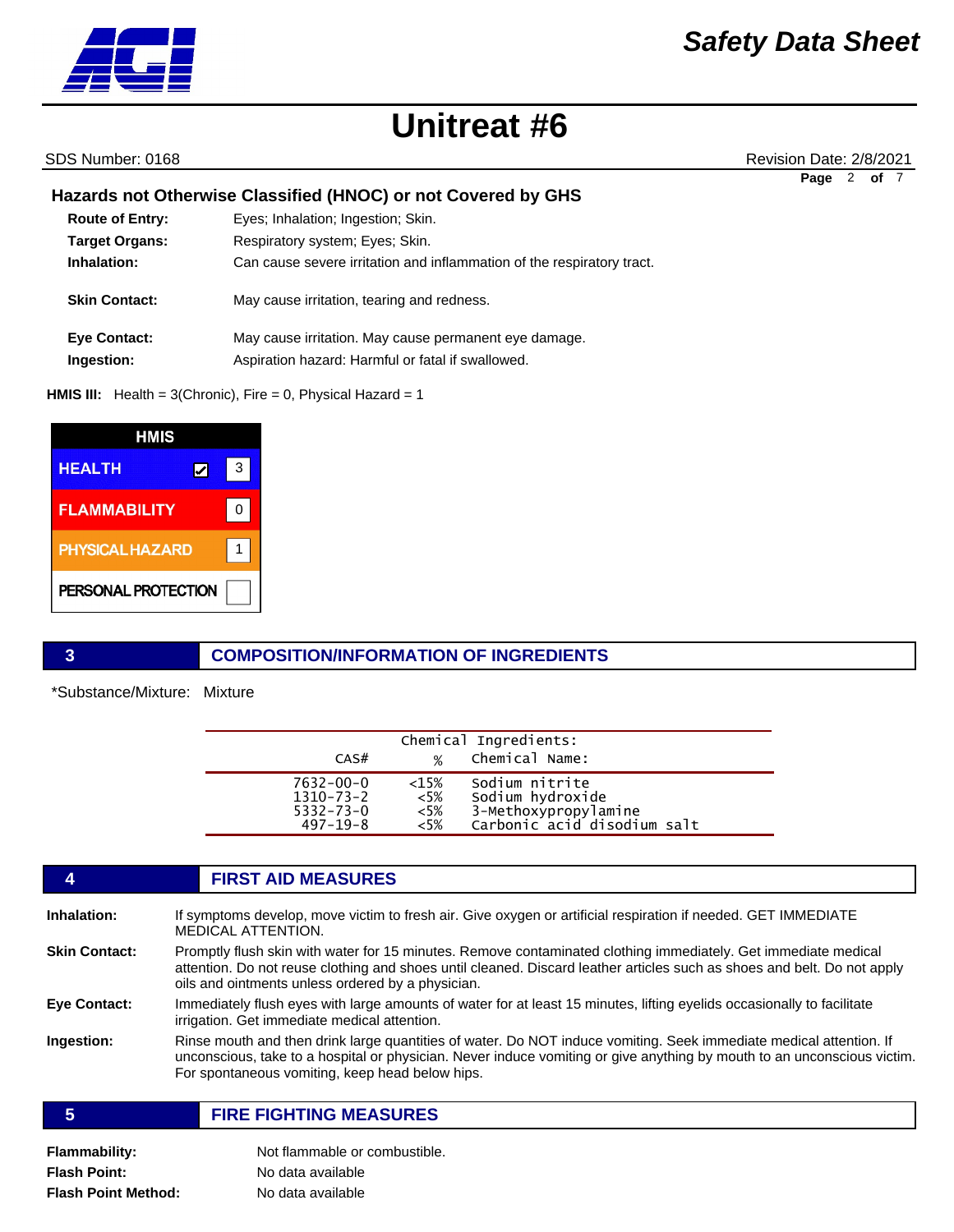

SDS Number: 0168 **Revision Date: 2/8/2021** Revision Date: 2/8/2021

**Page** 2 **of** 7

# **Hazards not Otherwise Classified (HNOC) or not Covered by GHS**

| Eyes; Inhalation; Ingestion; Skin.                                     |
|------------------------------------------------------------------------|
| Respiratory system; Eyes; Skin.                                        |
| Can cause severe irritation and inflammation of the respiratory tract. |
| May cause irritation, tearing and redness.                             |
| May cause irritation. May cause permanent eye damage.                  |
| Aspiration hazard: Harmful or fatal if swallowed.                      |
|                                                                        |

**HMIS III:** Health = 3(Chronic), Fire = 0, Physical Hazard = 1

| HMIS                   |   |   |
|------------------------|---|---|
| <b>HEALTH</b>          | V | 3 |
| <b>FLAMMABILITY</b>    |   | 0 |
| <b>PHYSICAL HAZARD</b> |   |   |
| PERSONAL PROTECTION    |   |   |

## **3 COMPOSITION/INFORMATION OF INGREDIENTS**

\*Substance/Mixture: Mixture

| Chemical Ingredients:                                             |                                    |                                                                                           |  |  |
|-------------------------------------------------------------------|------------------------------------|-------------------------------------------------------------------------------------------|--|--|
| CAS#                                                              | $\%$                               | Chemical Name:                                                                            |  |  |
| $7632 - 00 - 0$<br>1310-73-2<br>$5332 - 73 - 0$<br>$497 - 19 - 8$ | $<15\%$<br>$<$ 5%<br>$<$ 5%<br><5% | Sodium nitrite<br>Sodium hydroxide<br>3-Methoxypropylamine<br>Carbonic acid disodium salt |  |  |

# **4 FIRST AID MEASURES Inhalation:** If symptoms develop, move victim to fresh air. Give oxygen or artificial respiration if needed. GET IMMEDIATE MEDICAL ATTENTION. **Skin Contact:** Promptly flush skin with water for 15 minutes. Remove contaminated clothing immediately. Get immediate medical attention. Do not reuse clothing and shoes until cleaned. Discard leather articles such as shoes and belt. Do not apply oils and ointments unless ordered by a physician. **Eye Contact:** Immediately flush eyes with large amounts of water for at least 15 minutes, lifting eyelids occasionally to facilitate irrigation. Get immediate medical attention. **Ingestion:** Rinse mouth and then drink large quantities of water. Do NOT induce vomiting. Seek immediate medical attention. If unconscious, take to a hospital or physician. Never induce vomiting or give anything by mouth to an unconscious victim. For spontaneous vomiting, keep head below hips. **5 FIRE FIGHTING MEASURES**

**Flammability:** Not flammable or combustible. **Flash Point:** No data available **Flash Point Method:** No data available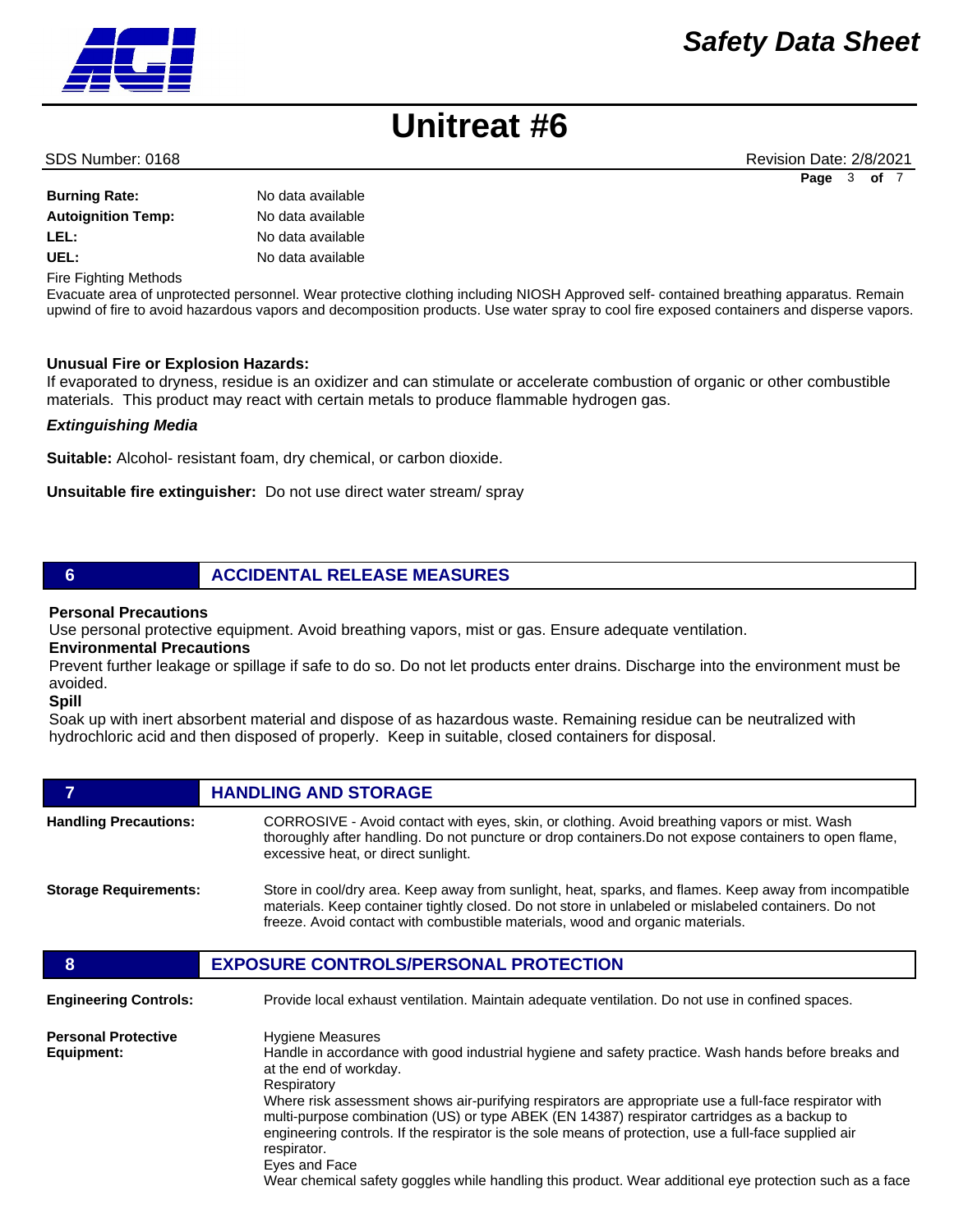#### **Burning Rate:** No data available

| <b>Durning Rate:</b>      | <u>ino data avaliable</u> |
|---------------------------|---------------------------|
| <b>Autoignition Temp:</b> | No data available         |
| LEL:                      | No data available         |
| UEL:                      | No data available         |
|                           |                           |

Fire Fighting Methods

Evacuate area of unprotected personnel. Wear protective clothing including NIOSH Approved self- contained breathing apparatus. Remain upwind of fire to avoid hazardous vapors and decomposition products. Use water spray to cool fire exposed containers and disperse vapors.

## **Unusual Fire or Explosion Hazards:**

If evaporated to dryness, residue is an oxidizer and can stimulate or accelerate combustion of organic or other combustible materials. This product may react with certain metals to produce flammable hydrogen gas.

## *Extinguishing Media*

**Suitable:** Alcohol- resistant foam, dry chemical, or carbon dioxide.

**Unsuitable fire extinguisher:** Do not use direct water stream/ spray

# **6 ACCIDENTAL RELEASE MEASURES**

### **Personal Precautions**

Use personal protective equipment. Avoid breathing vapors, mist or gas. Ensure adequate ventilation.

## **Environmental Precautions**

Prevent further leakage or spillage if safe to do so. Do not let products enter drains. Discharge into the environment must be avoided.

**Spill** 

Soak up with inert absorbent material and dispose of as hazardous waste. Remaining residue can be neutralized with hydrochloric acid and then disposed of properly. Keep in suitable, closed containers for disposal.

# **FIGURE 12 IN STORAGE**

| <b>Handling Precautions:</b> | CORROSIVE - Avoid contact with eyes, skin, or clothing. Avoid breathing vapors or mist. Wash<br>thoroughly after handling. Do not puncture or drop containers. Do not expose containers to open flame,<br>excessive heat, or direct sunlight.                                                   |
|------------------------------|-------------------------------------------------------------------------------------------------------------------------------------------------------------------------------------------------------------------------------------------------------------------------------------------------|
| <b>Storage Requirements:</b> | Store in cool/dry area. Keep away from sunlight, heat, sparks, and flames. Keep away from incompatible<br>materials. Keep container tightly closed. Do not store in unlabeled or mislabeled containers. Do not<br>freeze. Avoid contact with combustible materials, wood and organic materials. |

| 8                                        | <b>EXPOSURE CONTROLS/PERSONAL PROTECTION</b>                                                                                                                                                                                                                                                                                                                                                                                                                                                                                                                                                                                        |
|------------------------------------------|-------------------------------------------------------------------------------------------------------------------------------------------------------------------------------------------------------------------------------------------------------------------------------------------------------------------------------------------------------------------------------------------------------------------------------------------------------------------------------------------------------------------------------------------------------------------------------------------------------------------------------------|
| <b>Engineering Controls:</b>             | Provide local exhaust ventilation. Maintain adequate ventilation. Do not use in confined spaces.                                                                                                                                                                                                                                                                                                                                                                                                                                                                                                                                    |
| <b>Personal Protective</b><br>Equipment: | <b>Hygiene Measures</b><br>Handle in accordance with good industrial hygiene and safety practice. Wash hands before breaks and<br>at the end of workday.<br>Respiratory<br>Where risk assessment shows air-purifying respirators are appropriate use a full-face respirator with<br>multi-purpose combination (US) or type ABEK (EN 14387) respirator cartridges as a backup to<br>engineering controls. If the respirator is the sole means of protection, use a full-face supplied air<br>respirator.<br>Eyes and Face<br>Wear chemical safety goggles while handling this product. Wear additional eye protection such as a face |



SDS Number: 0168 **Revision Date: 2/8/2021** Revision Date: 2/8/2021 **Page** 3 **of** 7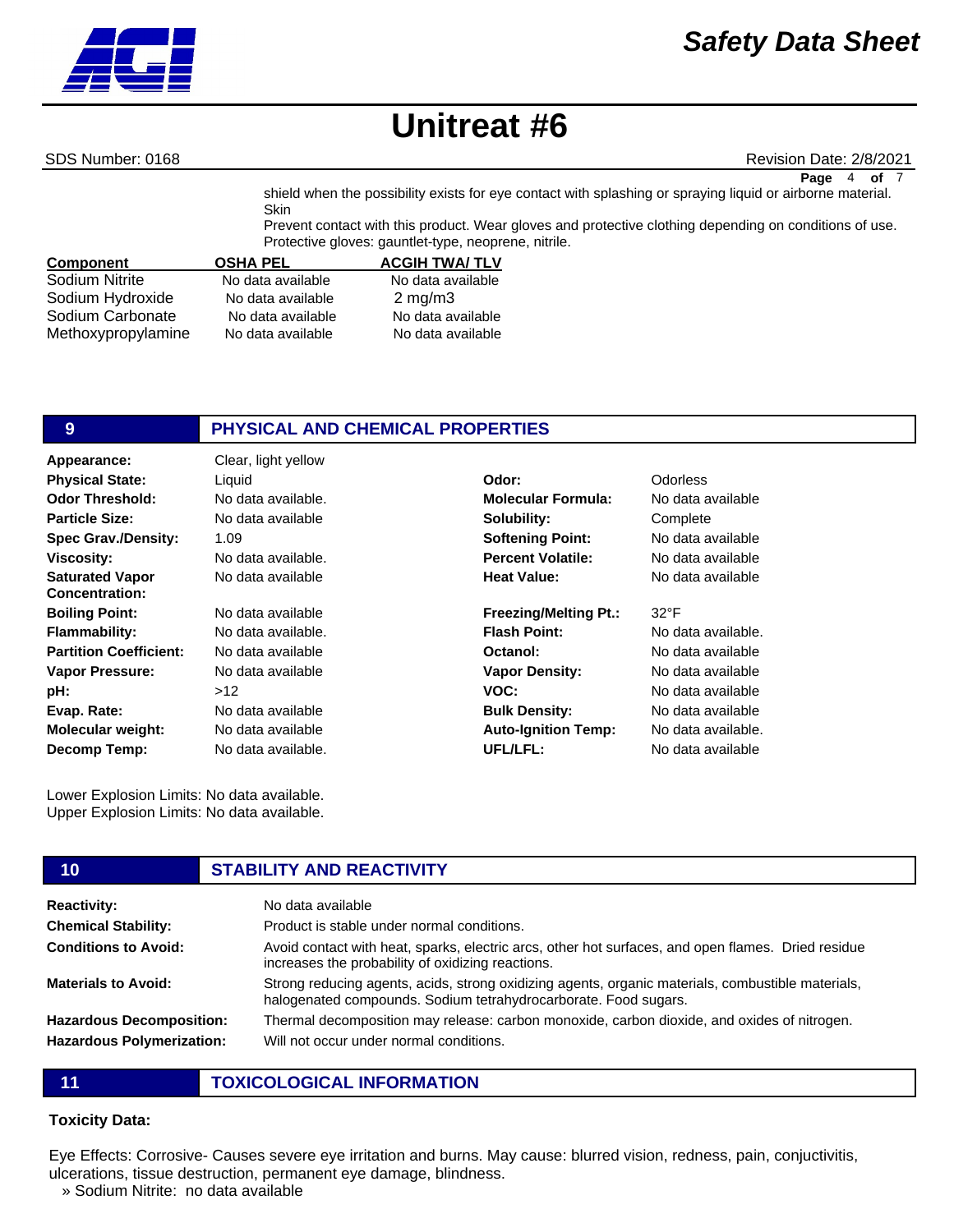

SDS Number: 0168 **Revision Date: 2/8/2021** Revision Date: 2/8/2021

**Page** 4 **of** 7

shield when the possibility exists for eye contact with splashing or spraying liquid or airborne material. **Skin** Prevent contact with this product. Wear gloves and protective clothing depending on conditions of use.

|                    | Protective gloves: gauntlet-type, neoprene, nitrile. |                      |  |
|--------------------|------------------------------------------------------|----------------------|--|
| <b>Component</b>   | <b>OSHA PEL</b>                                      | <b>ACGIH TWA/TLV</b> |  |
| Sodium Nitrite     | No data available                                    | No data available    |  |
| Sodium Hydroxide   | No data available                                    | $2 \text{ mg/m}$     |  |
| Sodium Carbonate   | No data available                                    | No data available    |  |
| Methoxypropylamine | No data available                                    | No data available    |  |

# **9 PHYSICAL AND CHEMICAL PROPERTIES**

**Appearance:** Clear, light yellow No data available 1.09 No data available. No data available No data available No data available. No data available No data available  $\sim$ 12 No data available No data available No data available. **Odor Threshold: Particle Size: Spec Grav./Density: Viscosity: Saturated Vapor Concentration: Boiling Point: Flammability: Partition Coefficient: Vapor Pressure: pH: Evap. Rate: Molecular weight: Decomp Temp: Physical State:** Liquid **Odor:** Odorless

Lower Explosion Limits: No data available. Upper Explosion Limits: No data available.

#### **10 STABILITY AND REACTIVITY Reactivity:** No data available **Chemical Stability: Conditions to Avoid: Materials to Avoid: Hazardous Decomposition: Hazardous Polymerization:** Product is stable under normal conditions. Avoid contact with heat, sparks, electric arcs, other hot surfaces, and open flames. Dried residue increases the probability of oxidizing reactions. Strong reducing agents, acids, strong oxidizing agents, organic materials, combustible materials, halogenated compounds. Sodium tetrahydrocarborate. Food sugars. Thermal decomposition may release: carbon monoxide, carbon dioxide, and oxides of nitrogen. Will not occur under normal conditions.

**11 TOXICOLOGICAL INFORMATION**

## **Toxicity Data:**

Eye Effects: Corrosive- Causes severe eye irritation and burns. May cause: blurred vision, redness, pain, conjuctivitis, ulcerations, tissue destruction, permanent eye damage, blindness.

» Sodium Nitrite: no data available

# No data available. **Molecular Formula:** No data available **Solubility: Softening Point: Percent Volatile: Heat Value:**

**Freezing/Melting Pt.: Flash Point: Octanol: Vapor Density: VOC: Bulk Density: Auto-Ignition Temp: UFL/LFL:**

# **Complete** No data available No data available No data available

#### 32°F

No data available. No data available No data available No data available No data available No data available. No data available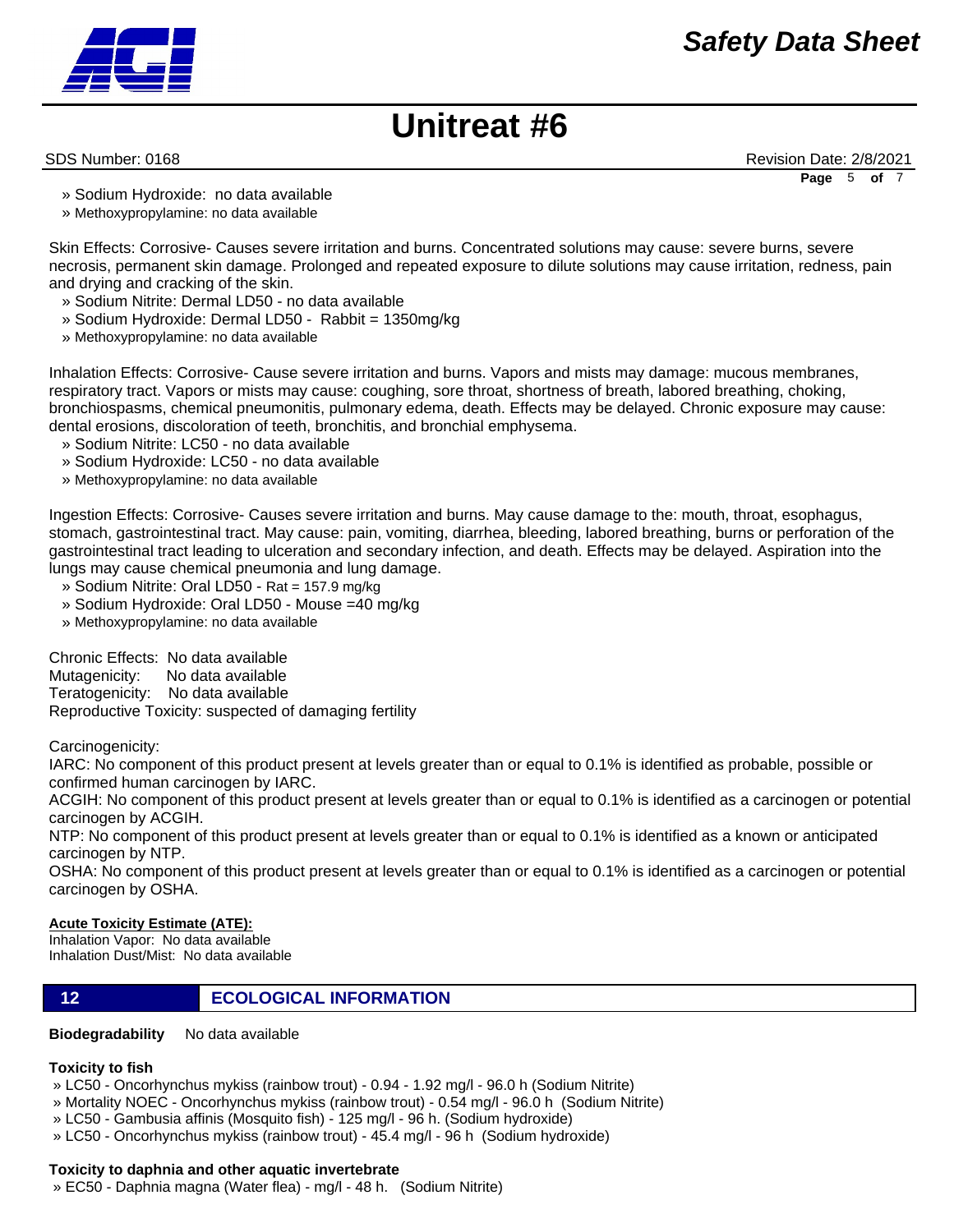

SDS Number: 0168 **Revision Date: 2/8/2021** Revision Date: 2/8/2021

**Page** 5 **of** 7

- » Sodium Hydroxide: no data available
- » Methoxypropylamine: no data available

Skin Effects: Corrosive- Causes severe irritation and burns. Concentrated solutions may cause: severe burns, severe necrosis, permanent skin damage. Prolonged and repeated exposure to dilute solutions may cause irritation, redness, pain and drying and cracking of the skin.

- » Sodium Nitrite: Dermal LD50 no data available
- » Sodium Hydroxide: Dermal LD50 Rabbit = 1350mg/kg
- » Methoxypropylamine: no data available

Inhalation Effects: Corrosive- Cause severe irritation and burns. Vapors and mists may damage: mucous membranes, respiratory tract. Vapors or mists may cause: coughing, sore throat, shortness of breath, labored breathing, choking, bronchiospasms, chemical pneumonitis, pulmonary edema, death. Effects may be delayed. Chronic exposure may cause: dental erosions, discoloration of teeth, bronchitis, and bronchial emphysema.

- » Sodium Nitrite: LC50 no data available
- » Sodium Hydroxide: LC50 no data available
- » Methoxypropylamine: no data available

Ingestion Effects: Corrosive- Causes severe irritation and burns. May cause damage to the: mouth, throat, esophagus, stomach, gastrointestinal tract. May cause: pain, vomiting, diarrhea, bleeding, labored breathing, burns or perforation of the gastrointestinal tract leading to ulceration and secondary infection, and death. Effects may be delayed. Aspiration into the lungs may cause chemical pneumonia and lung damage.

- » Sodium Nitrite: Oral LD50 Rat = 157.9 mg/kg
- » Sodium Hydroxide: Oral LD50 Mouse =40 mg/kg
- » Methoxypropylamine: no data available

Chronic Effects: No data available Mutagenicity: No data available Teratogenicity: No data available Reproductive Toxicity: suspected of damaging fertility

Carcinogenicity:

IARC: No component of this product present at levels greater than or equal to 0.1% is identified as probable, possible or confirmed human carcinogen by IARC.

ACGIH: No component of this product present at levels greater than or equal to 0.1% is identified as a carcinogen or potential carcinogen by ACGIH.

NTP: No component of this product present at levels greater than or equal to 0.1% is identified as a known or anticipated carcinogen by NTP.

OSHA: No component of this product present at levels greater than or equal to 0.1% is identified as a carcinogen or potential carcinogen by OSHA.

## **Acute Toxicity Estimate (ATE):**

Inhalation Vapor: No data available Inhalation Dust/Mist: No data available

**12 ECOLOGICAL INFORMATION** 

**Biodegradability** No data available

## **Toxicity to fish**

» LC50 - Oncorhynchus mykiss (rainbow trout) - 0.94 - 1.92 mg/l - 96.0 h (Sodium Nitrite)

- » Mortality NOEC Oncorhynchus mykiss (rainbow trout) 0.54 mg/l 96.0 h (Sodium Nitrite)
- » LC50 Gambusia affinis (Mosquito fish) 125 mg/l 96 h. (Sodium hydroxide)
- » LC50 Oncorhynchus mykiss (rainbow trout) 45.4 mg/l 96 h (Sodium hydroxide)

## **Toxicity to daphnia and other aquatic invertebrate**

» EC50 - Daphnia magna (Water flea) - mg/l - 48 h. (Sodium Nitrite)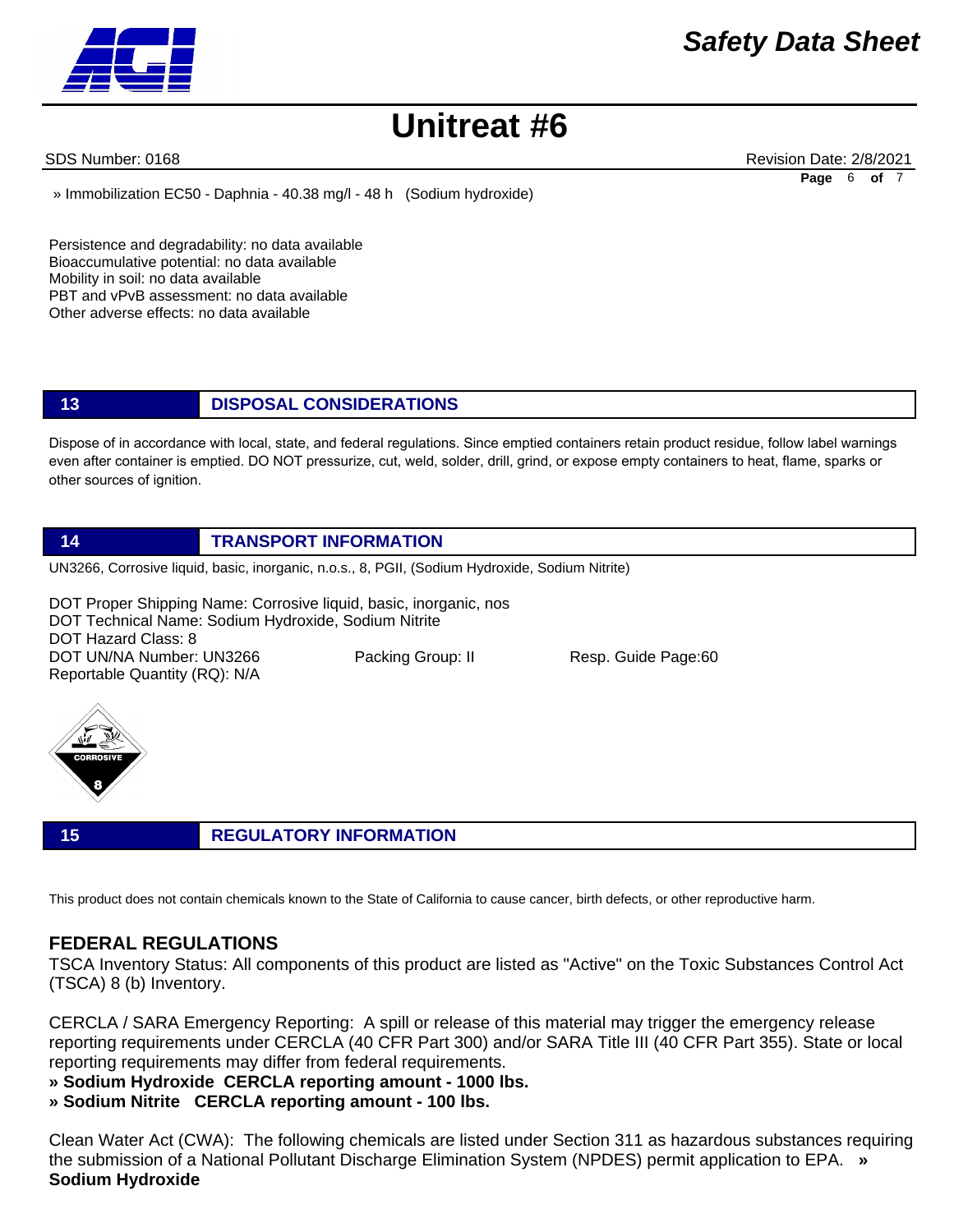SDS Number: 0168 **Revision Date: 2/8/2021** Revision Date: 2/8/2021 **Page** 6 **of** 7

» Immobilization EC50 - Daphnia - 40.38 mg/l - 48 h (Sodium hydroxide)

Persistence and degradability: no data available Bioaccumulative potential: no data available Mobility in soil: no data available PBT and vPvB assessment: no data available Other adverse effects: no data available

# **13 DISPOSAL CONSIDERATIONS**

Dispose of in accordance with local, state, and federal regulations. Since emptied containers retain product residue, follow label warnings even after container is emptied. DO NOT pressurize, cut, weld, solder, drill, grind, or expose empty containers to heat, flame, sparks or other sources of ignition.

## **14 TRANSPORT INFORMATION**

UN3266, Corrosive liquid, basic, inorganic, n.o.s., 8, PGII, (Sodium Hydroxide, Sodium Nitrite)

DOT Proper Shipping Name: Corrosive liquid, basic, inorganic, nos DOT Technical Name: Sodium Hydroxide, Sodium Nitrite DOT Hazard Class: 8 DOT UN/NA Number: UN3266 Packing Group: II Resp. Guide Page:60 Reportable Quantity (RQ): N/A



**15 REGULATORY INFORMATION**

This product does not contain chemicals known to the State of California to cause cancer, birth defects, or other reproductive harm.

# **FEDERAL REGULATIONS**

TSCA Inventory Status: All components of this product are listed as "Active" on the Toxic Substances Control Act (TSCA) 8 (b) Inventory.

CERCLA / SARA Emergency Reporting: A spill or release of this material may trigger the emergency release reporting requirements under CERCLA (40 CFR Part 300) and/or SARA Title III (40 CFR Part 355). State or local reporting requirements may differ from federal requirements.

- **» Sodium Hydroxide CERCLA reporting amount 1000 lbs.**
- **» Sodium Nitrite CERCLA reporting amount 100 lbs.**

Clean Water Act (CWA): The following chemicals are listed under Section 311 as hazardous substances requiring the submission of a National Pollutant Discharge Elimination System (NPDES) permit application to EPA. **» Sodium Hydroxide**